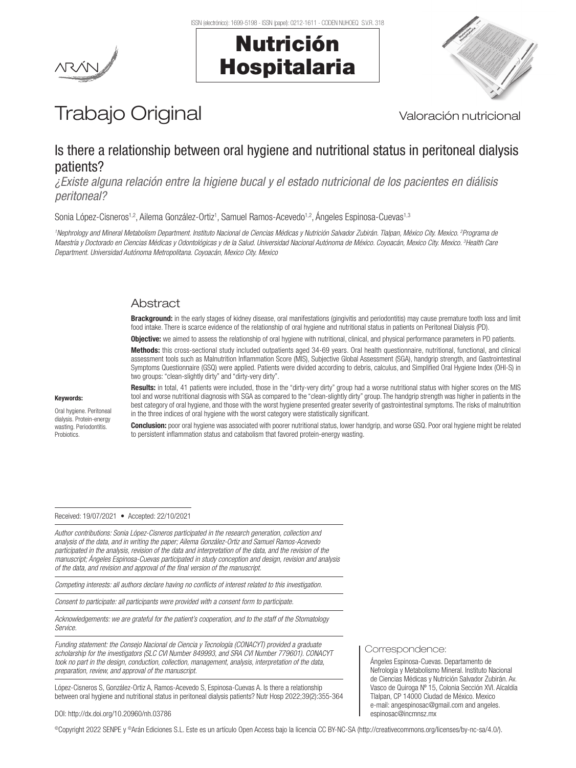





# Trabajo Original Valoración nutricional

# Is there a relationship between oral hygiene and nutritional status in peritoneal dialysis patients?

*¿Existe alguna relación entre la higiene bucal y el estado nutricional de los pacientes en diálisis peritoneal?*

Sonia López-Cisneros<sup>1,2</sup>, Ailema González-Ortiz<sup>1</sup>, Samuel Ramos-Acevedo<sup>1,2</sup>, Ángeles Espinosa-Cuevas<sup>1,3</sup>

*1 Nephrology and Mineral Metabolism Department. Instituto Nacional de Ciencias Médicas y Nutrición Salvador Zubirán. Tlalpan, México City. Mexico. 2 Programa de Maestría y Doctorado en Ciencias Médicas y Odontológicas y de la Salud. Universidad Nacional Autónoma de México. Coyoacán, Mexico City. Mexico. 3 Health Care Department. Universidad Autónoma Metropolitana. Coyoacán, Mexico City. Mexico*

# Abstract

**Brackground:** in the early stages of kidney disease, oral manifestations (gingivitis and periodontitis) may cause premature tooth loss and limit food intake. There is scarce evidence of the relationship of oral hygiene and nutritional status in patients on Peritoneal Dialysis (PD).

Objective: we aimed to assess the relationship of oral hygiene with nutritional, clinical, and physical performance parameters in PD patients.

Methods: this cross-sectional study included outpatients aged 34-69 years. Oral health questionnaire, nutritional, functional, and clinical assessment tools such as Malnutrition Inflammation Score (MIS), Subjective Global Assessment (SGA), handgrip strength, and Gastrointestinal Symptoms Questionnaire (GSQ) were applied. Patients were divided according to debris, calculus, and Simplified Oral Hygiene Index (OHI-S) in two groups: "clean-slightly dirty" and "dirty-very dirty".

#### Keywords:

Oral hygiene. Peritoneal dialysis. Protein-energy wasting. Periodontitis. **Probiotics** 

Results: in total, 41 patients were included, those in the "dirty-very dirty" group had a worse nutritional status with higher scores on the MIS tool and worse nutritional diagnosis with SGA as compared to the "clean-slightly dirty" group. The handgrip strength was higher in patients in the best category of oral hygiene, and those with the worst hygiene presented greater severity of gastrointestinal symptoms. The risks of malnutrition in the three indices of oral hygiene with the worst category were statistically significant.

Conclusion: poor oral hygiene was associated with poorer nutritional status, lower handgrip, and worse GSQ. Poor oral hygiene might be related to persistent inflammation status and catabolism that favored protein-energy wasting.

#### Received: 19/07/2021 • Accepted: 22/10/2021

*Author contributions: Sonia López-Cisneros participated in the research generation, collection and analysis of the data, and in writing the paper; Ailema González-Ortiz and Samuel Ramos-Acevedo participated in the analysis, revision of the data and interpretation of the data, and the revision of the manuscript; Ángeles Espinosa-Cuevas participated in study conception and design, revision and analysis of the data, and revision and approval of the final version of the manuscript.*

*Competing interests: all authors declare having no conflicts of interest related to this investigation.*

*Consent to participate: all participants were provided with a consent form to participate.*

*Acknowledgements: we are grateful for the patient's cooperation, and to the staff of the Stomatology Service.*

*Funding statement: the Consejo Nacional de Ciencia y Tecnología (CONACYT) provided a graduate scholarship for the investigators (SLC CVI Number 849993, and SRA CVI Number 779601). CONACYT took no part in the design, conduction, collection, management, analysis, interpretation of the data, preparation, review, and approval of the manuscript.*

López-Cisneros S, González-Ortiz A, Ramos-Acevedo S, Espinosa-Cuevas A. Is there a relationship between oral hygiene and nutritional status in peritoneal dialysis patients? Nutr Hosp 2022;39(2):355-364

#### DOI: http://dx.doi.org/10.20960/nh.03786

©Copyright 2022 SENPE y ©Arán Ediciones S.L. Este es un artículo Open Access bajo la licencia CC BY-NC-SA (http://creativecommons.org/licenses/by-nc-sa/4.0/).

Correspondence:

Ángeles Espinosa-Cuevas. Departamento de Nefrología y Metabolismo Mineral. Instituto Nacional de Ciencias Médicas y Nutrición Salvador Zubirán. Av. Vasco de Quiroga Nº 15, Colonia Sección XVI. Alcaldía Tlalpan, CP 14000 Ciudad de México. Mexico e-mail: angespinosac@gmail.com and angeles. espinosac@incmnsz.mx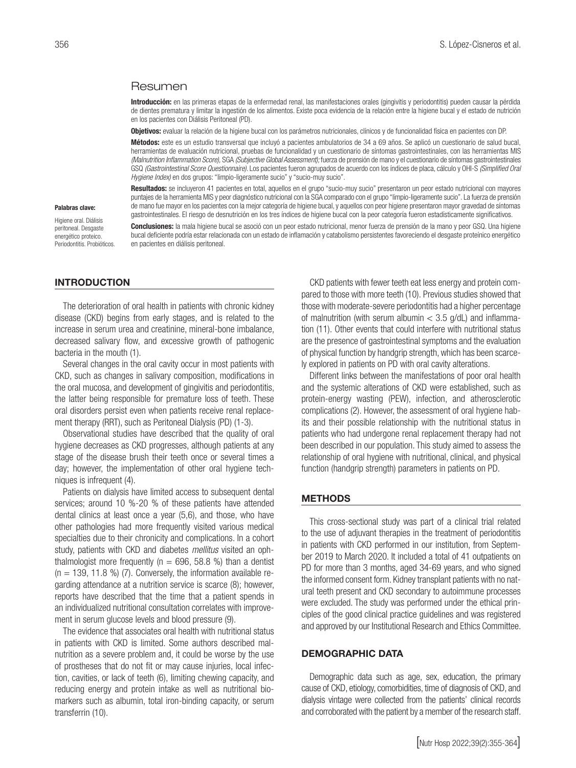#### Resumen

Introducción: en las primeras etapas de la enfermedad renal, las manifestaciones orales (gingivitis y periodontitis) pueden causar la pérdida de dientes prematura y limitar la ingestión de los alimentos. Existe poca evidencia de la relación entre la higiene bucal y el estado de nutrición en los pacientes con Diálisis Peritoneal (PD).

Objetivos: evaluar la relación de la higiene bucal con los parámetros nutricionales, clínicos y de funcionalidad física en pacientes con DP.

Métodos: este es un estudio transversal que incluyó a pacientes ambulatorios de 34 a 69 años. Se aplicó un cuestionario de salud bucal, herramientas de evaluación nutricional, pruebas de funcionalidad y un cuestionario de síntomas gastrointestinales, con las herramientas MIS *(Malnutrition Inflammation Score),* SGA *(Subjective Global Assessment);* fuerza de prensión de mano y el cuestionario de síntomas gastrointestinales GSQ *(Gastrointestinal Score Questionnaire).* Los pacientes fueron agrupados de acuerdo con los índices de placa, cálculo y OHI-S *(Simplified Oral Hygiene Index)* en dos grupos: "limpio-ligeramente sucio" y "sucio-muy sucio".

Resultados: se incluyeron 41 pacientes en total, aquellos en el grupo "sucio-muy sucio" presentaron un peor estado nutricional con mayores puntajes de la herramienta MIS y peor diagnóstico nutricional con la SGA comparado con el grupo "limpio-ligeramente sucio". La fuerza de prensión de mano fue mayor en los pacientes con la mejor categoría de higiene bucal, y aquellos con peor higiene presentaron mayor gravedad de síntomas gastrointestinales. El riesgo de desnutrición en los tres índices de higiene bucal con la peor categoría fueron estadísticamente significativos.

#### Palabras clave:

Higiene oral. Diálisis peritoneal. Desgaste energético proteico. Periodontitis. Probióticos.

Conclusiones: la mala higiene bucal se asoció con un peor estado nutricional, menor fuerza de prensión de la mano y peor GSQ. Una higiene bucal deficiente podría estar relacionada con un estado de inflamación y catabolismo persistentes favoreciendo el desgaste proteínico energético en pacientes en diálisis peritoneal.

#### INTRODUCTION

The deterioration of oral health in patients with chronic kidney disease (CKD) begins from early stages, and is related to the increase in serum urea and creatinine, mineral-bone imbalance, decreased salivary flow, and excessive growth of pathogenic bacteria in the mouth (1).

Several changes in the oral cavity occur in most patients with CKD, such as changes in salivary composition, modifications in the oral mucosa, and development of gingivitis and periodontitis, the latter being responsible for premature loss of teeth. These oral disorders persist even when patients receive renal replacement therapy (RRT), such as Peritoneal Dialysis (PD) (1-3).

Observational studies have described that the quality of oral hygiene decreases as CKD progresses, although patients at any stage of the disease brush their teeth once or several times a day; however, the implementation of other oral hygiene techniques is infrequent (4).

Patients on dialysis have limited access to subsequent dental services; around 10 %-20 % of these patients have attended dental clinics at least once a year (5,6), and those, who have other pathologies had more frequently visited various medical specialties due to their chronicity and complications. In a cohort study, patients with CKD and diabetes *mellitus* visited an ophthalmologist more frequently ( $n = 696, 58.8$  %) than a dentist  $(n = 139, 11.8 \%)$  (7). Conversely, the information available regarding attendance at a nutrition service is scarce (8); however, reports have described that the time that a patient spends in an individualized nutritional consultation correlates with improvement in serum glucose levels and blood pressure (9).

The evidence that associates oral health with nutritional status in patients with CKD is limited. Some authors described malnutrition as a severe problem and, it could be worse by the use of prostheses that do not fit or may cause injuries, local infection, cavities, or lack of teeth (6), limiting chewing capacity, and reducing energy and protein intake as well as nutritional biomarkers such as albumin, total iron-binding capacity, or serum transferrin (10).

CKD patients with fewer teeth eat less energy and protein compared to those with more teeth (10). Previous studies showed that those with moderate-severe periodontitis had a higher percentage of malnutrition (with serum albumin  $<$  3.5 g/dL) and inflammation (11). Other events that could interfere with nutritional status are the presence of gastrointestinal symptoms and the evaluation of physical function by handgrip strength, which has been scarcely explored in patients on PD with oral cavity alterations.

Different links between the manifestations of poor oral health and the systemic alterations of CKD were established, such as protein-energy wasting (PEW), infection, and atherosclerotic complications (2). However, the assessment of oral hygiene habits and their possible relationship with the nutritional status in patients who had undergone renal replacement therapy had not been described in our population. This study aimed to assess the relationship of oral hygiene with nutritional, clinical, and physical function (handgrip strength) parameters in patients on PD.

#### METHODS

This cross-sectional study was part of a clinical trial related to the use of adjuvant therapies in the treatment of periodontitis in patients with CKD performed in our institution, from September 2019 to March 2020. It included a total of 41 outpatients on PD for more than 3 months, aged 34-69 years, and who signed the informed consent form. Kidney transplant patients with no natural teeth present and CKD secondary to autoimmune processes were excluded. The study was performed under the ethical principles of the good clinical practice guidelines and was registered and approved by our Institutional Research and Ethics Committee.

#### DEMOGRAPHIC DATA

Demographic data such as age, sex, education, the primary cause of CKD, etiology, comorbidities, time of diagnosis of CKD, and dialysis vintage were collected from the patients' clinical records and corroborated with the patient by a member of the research staff.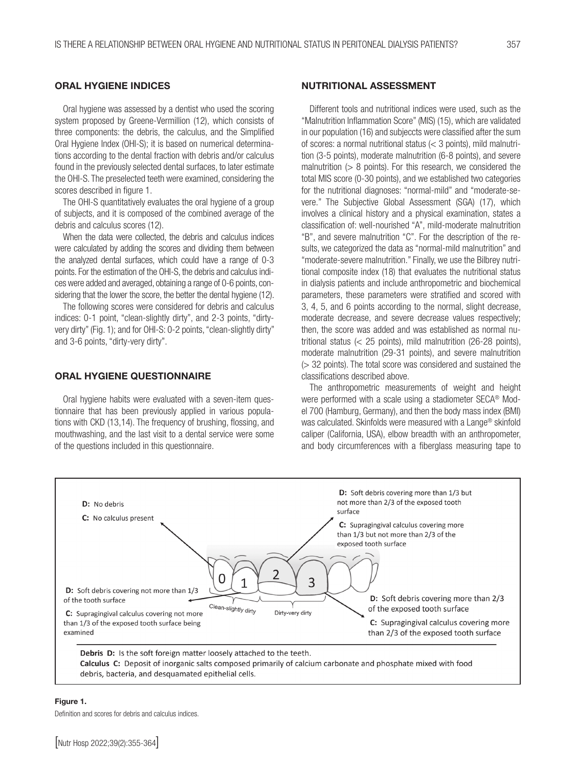#### ORAL HYGIENE INDICES

Oral hygiene was assessed by a dentist who used the scoring system proposed by Greene-Vermillion (12), which consists of three components: the debris, the calculus, and the Simplified Oral Hygiene Index (OHI-S); it is based on numerical determinations according to the dental fraction with debris and/or calculus found in the previously selected dental surfaces, to later estimate the OHI-S. The preselected teeth were examined, considering the scores described in figure 1.

The OHI-S quantitatively evaluates the oral hygiene of a group of subjects, and it is composed of the combined average of the debris and calculus scores (12).

When the data were collected, the debris and calculus indices were calculated by adding the scores and dividing them between the analyzed dental surfaces, which could have a range of 0-3 points. For the estimation of the OHI-S, the debris and calculus indices were added and averaged, obtaining a range of 0-6 points, considering that the lower the score, the better the dental hygiene (12).

The following scores were considered for debris and calculus indices: 0-1 point, "clean-slightly dirty", and 2-3 points, "dirtyvery dirty" (Fig. 1); and for OHI-S: 0-2 points, "clean-slightly dirty" and 3-6 points, "dirty-very dirty".

#### ORAL HYGIENE QUESTIONNAIRE

Oral hygiene habits were evaluated with a seven-item questionnaire that has been previously applied in various populations with CKD (13,14). The frequency of brushing, flossing, and mouthwashing, and the last visit to a dental service were some of the questions included in this questionnaire.

#### NUTRITIONAL ASSESSMENT

Different tools and nutritional indices were used, such as the "Malnutrition Inflammation Score" (MIS) (15), which are validated in our population (16) and subjeccts were classified after the sum of scores: a normal nutritional status (< 3 points), mild malnutrition (3-5 points), moderate malnutrition (6-8 points), and severe malnutrition  $(> 8$  points). For this research, we considered the total MIS score (0-30 points), and we established two categories for the nutritional diagnoses: "normal-mild" and "moderate-severe." The Subjective Global Assessment (SGA) (17), which involves a clinical history and a physical examination, states a classification of: well-nourished "A", mild-moderate malnutrition "B", and severe malnutrition "C". For the description of the results, we categorized the data as "normal-mild malnutrition" and "moderate-severe malnutrition." Finally, we use the Bilbrey nutritional composite index (18) that evaluates the nutritional status in dialysis patients and include anthropometric and biochemical parameters, these parameters were stratified and scored with 3, 4, 5, and 6 points according to the normal, slight decrease, moderate decrease, and severe decrease values respectively; then, the score was added and was established as normal nutritional status (< 25 points), mild malnutrition (26-28 points), moderate malnutrition (29-31 points), and severe malnutrition (> 32 points). The total score was considered and sustained the classifications described above.

The anthropometric measurements of weight and height were performed with a scale using a stadiometer SECA® Model 700 (Hamburg, Germany), and then the body mass index (BMI) was calculated. Skinfolds were measured with a Lange® skinfold caliper (California, USA), elbow breadth with an anthropometer, and body circumferences with a fiberglass measuring tape to



#### Figure 1.

Definition and scores for debris and calculus indices.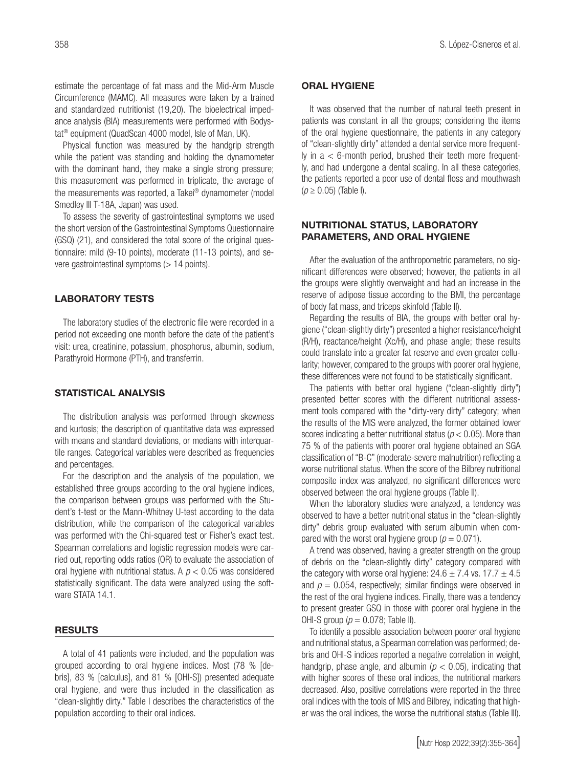estimate the percentage of fat mass and the Mid-Arm Muscle Circumference (MAMC). All measures were taken by a trained and standardized nutritionist (19,20). The bioelectrical impedance analysis (BIA) measurements were performed with Bodystat® equipment (QuadScan 4000 model, Isle of Man, UK).

Physical function was measured by the handgrip strength while the patient was standing and holding the dynamometer with the dominant hand, they make a single strong pressure; this measurement was performed in triplicate, the average of the measurements was reported, a Takei® dynamometer (model Smedley III T-18A, Japan) was used.

To assess the severity of gastrointestinal symptoms we used the short version of the Gastrointestinal Symptoms Questionnaire (GSQ) (21), and considered the total score of the original questionnaire: mild (9-10 points), moderate (11-13 points), and severe gastrointestinal symptoms (> 14 points).

# LABORATORY TESTS

The laboratory studies of the electronic file were recorded in a period not exceeding one month before the date of the patient's visit: urea, creatinine, potassium, phosphorus, albumin, sodium, Parathyroid Hormone (PTH), and transferrin.

#### STATISTICAL ANALYSIS

The distribution analysis was performed through skewness and kurtosis; the description of quantitative data was expressed with means and standard deviations, or medians with interquartile ranges. Categorical variables were described as frequencies and percentages.

For the description and the analysis of the population, we established three groups according to the oral hygiene indices, the comparison between groups was performed with the Student's t-test or the Mann-Whitney U-test according to the data distribution, while the comparison of the categorical variables was performed with the Chi-squared test or Fisher's exact test. Spearman correlations and logistic regression models were carried out, reporting odds ratios (OR) to evaluate the association of oral hygiene with nutritional status. A *p* < 0.05 was considered statistically significant. The data were analyzed using the software STATA 14.1.

# RESULTS

A total of 41 patients were included, and the population was grouped according to oral hygiene indices. Most (78 % [debris], 83 % [calculus], and 81 % [OHI-S]) presented adequate oral hygiene, and were thus included in the classification as "clean-slightly dirty." Table I describes the characteristics of the population according to their oral indices.

#### ORAL HYGIENE

It was observed that the number of natural teeth present in patients was constant in all the groups; considering the items of the oral hygiene questionnaire, the patients in any category of "clean-slightly dirty" attended a dental service more frequent-Iy in  $a < 6$ -month period, brushed their teeth more frequently, and had undergone a dental scaling. In all these categories, the patients reported a poor use of dental floss and mouthwash (*p* ≥ 0.05) (Table I).

#### NUTRITIONAL STATUS, LABORATORY PARAMETERS, AND ORAL HYGIENE

After the evaluation of the anthropometric parameters, no significant differences were observed; however, the patients in all the groups were slightly overweight and had an increase in the reserve of adipose tissue according to the BMI, the percentage of body fat mass, and triceps skinfold (Table II).

Regarding the results of BIA, the groups with better oral hygiene ("clean-slightly dirty") presented a higher resistance/height (R/H), reactance/height (Xc/H), and phase angle; these results could translate into a greater fat reserve and even greater cellularity; however, compared to the groups with poorer oral hygiene, these differences were not found to be statistically significant.

The patients with better oral hygiene ("clean-slightly dirty") presented better scores with the different nutritional assessment tools compared with the "dirty-very dirty" category; when the results of the MIS were analyzed, the former obtained lower scores indicating a better nutritional status (*p* < 0.05). More than 75 % of the patients with poorer oral hygiene obtained an SGA classification of "B-C" (moderate-severe malnutrition) reflecting a worse nutritional status. When the score of the Bilbrey nutritional composite index was analyzed, no significant differences were observed between the oral hygiene groups (Table II).

When the laboratory studies were analyzed, a tendency was observed to have a better nutritional status in the "clean-slightly dirty" debris group evaluated with serum albumin when compared with the worst oral hygiene group ( $p = 0.071$ ).

A trend was observed, having a greater strength on the group of debris on the "clean-slightly dirty" category compared with the category with worse oral hygiene:  $24.6 \pm 7.4$  vs.  $17.7 \pm 4.5$ and  $p = 0.054$ , respectively; similar findings were observed in the rest of the oral hygiene indices. Finally, there was a tendency to present greater GSQ in those with poorer oral hygiene in the OHI-S group ( $p = 0.078$ ; Table II).

To identify a possible association between poorer oral hygiene and nutritional status, a Spearman correlation was performed; debris and OHI-S indices reported a negative correlation in weight, handgrip, phase angle, and albumin ( $p < 0.05$ ), indicating that with higher scores of these oral indices, the nutritional markers decreased. Also, positive correlations were reported in the three oral indices with the tools of MIS and Bilbrey, indicating that higher was the oral indices, the worse the nutritional status (Table III).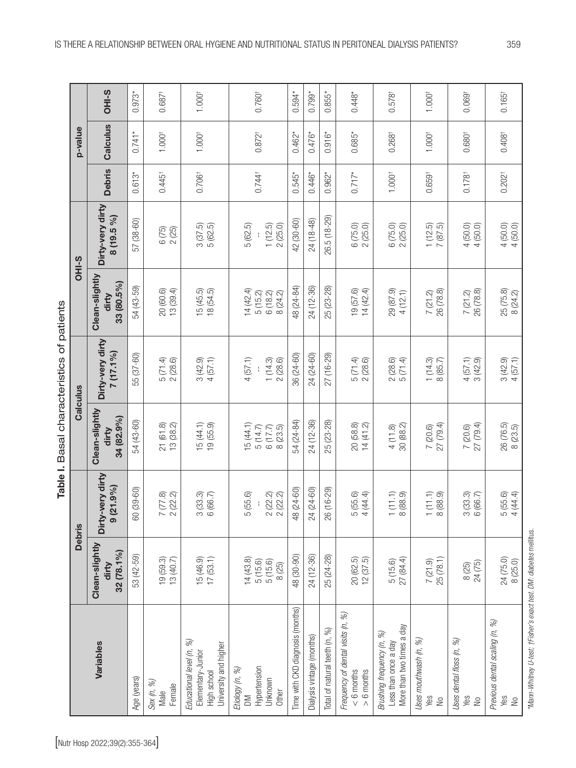| $\frac{1}{3}$<br>i<br>١   |
|---------------------------|
|                           |
| ì<br>i<br>į<br>į          |
| $\overline{\mathfrak{c}}$ |
|                           |

|                                                                                         |                                          | <b>Debris</b>                                      | Calculus                                  | Table I. Basal characteristics of patients |                                           | OHI-S                          |                      | p-value              |                      |
|-----------------------------------------------------------------------------------------|------------------------------------------|----------------------------------------------------|-------------------------------------------|--------------------------------------------|-------------------------------------------|--------------------------------|----------------------|----------------------|----------------------|
| Variables                                                                               | Clean-slightly<br>32 (78.1%)<br>dirty    | Dirty-very dirty<br>(21.9%<br>$\overline{\bullet}$ | Clean-slightly<br>34 (82.9%)<br>dirty     | Dirty-very dirty<br>$7(17.1\%)$            | Clean-slightly<br>33 (80.5%)<br>dirty     | Dirty-very dirty<br>8 (19.5 %) | <b>Debris</b>        | Calculus             | OHI-S                |
| Age (years)                                                                             | 53 (42-59)                               | 60 (39-60)                                         | 54 (43-60)                                | 55 (37-60)                                 | 54 (43-59)                                | 57 (38-60)                     | $0.613*$             | $0.741*$             | $0.973*$             |
| Sex (n, %)<br>Female<br>Male                                                            | 19 (59.3)<br>13 (40.7)                   | $7(77.8)$<br>2(22.2)                               | 21 (61.8)<br>13 (38.2)                    | 5 (71.4)<br>2 (28.6)                       | 20(60.6)<br>13 (39.4)                     | $6(75)$<br>2(25)               | $0.445+$             | $1.000^{+}$          | $0.687$ <sup>+</sup> |
| %<br>University and higher<br>Educational level (n,<br>Elementary-Junior<br>High school | 15 (46.9)<br>17 (53.1)                   | $3(33.3)$<br>6 (66.7)                              | $15(44.1)$<br>$19(55.9)$                  | $3(42.9)$<br>4 $(57.1)$                    | $15(45.5)$<br>$18(54.5)$                  | $3(37.5)$<br>$5(62.5)$         | 0.706 <sup>†</sup>   | $1.000^{+}$          | 1.000 <sup>†</sup>   |
| Hypertension<br>Etiology (n, %)<br>Unknown<br>Other<br>$\geq$                           | 14(43.8)<br>5(15.6)<br>5(15.6)<br>8 (25) | 2(22.2)<br>2(22.2)<br>5(55.6)                      | 15(44.1)<br>5(14.7)<br>6(17.7)<br>8(23.5) | 4(57.1)<br>1(14.3)<br>2(28.6)              | 14(42.4)<br>5(15.2)<br>6(18.2)<br>8(24.2) | 1(12.5)<br>2(25.0)<br>5 (62.5) | $0.744^{\dagger}$    | $0.872^{+}$          | $0.760^{\dagger}$    |
| Time with CKD diagnosis (months)                                                        | 48 (30-90)                               | 48 (24-60)                                         | 54 (24-84)                                | 36 (24-60)                                 | 48 (24-84)                                | 42 (30-60)                     | $0.545*$             | $0.462*$             | $0.594*$             |
| Dialysis vintage (months)                                                               | 24 (12-36)                               | $(24-60)$<br>24                                    | 24 (12-36)                                | 24 (24-60)                                 | 24 (12-36)                                | 24 (18-48)                     | $0.446*$             | $0.476*$             | $0.799*$             |
| Total of natural teeth (n, %)                                                           | 25 (24-28)                               | 26 (16-29)                                         | 25 (23-28)                                | 27 (16-29)                                 | 25 (23-28)                                | 26.5 (18-29)                   | $0.962*$             | $0.916*$             | $0.855*$             |
| Frequency of dental visits (n, %)<br>$> 6$ months<br>$< 6$ months                       | 20 (62.5)<br>12 (37.5)                   | 5(55.6)<br>4(44.4)                                 | 20(58.8)<br>14(41.2)                      | 5(71.4)<br>2(28.6)                         | 19 (57.6)<br>14(42.4)                     | 6(75.0)<br>2(25.0)             | $0.717*$             | $0.685*$             | $0.448*$             |
| More than two times a day<br>Brushing frequency (n, %)<br>Less than once a day          | 27 (84.4)<br>5(15.6)                     | $(11.1)$<br>(88.9)                                 | 30 (88.2)<br>4(11.8)                      | 2(28.6)<br>5(71.4)                         | 29 (87.9)<br>4 (12.1)                     | 6(75.0)<br>2(25.0)             | $1.000^{+}$          | $0.268^{+}$          | $0.578$ <sup>t</sup> |
| Uses mouthwash (n, %)<br>Yes<br>$\geq$                                                  | 25(78.1)<br>7(21.9)                      | (11.1)<br>8 (88.9)                                 | 27 (79.4)<br>7(20.6)                      | $1(14.3)$<br>8 (85.7)                      | 26 (78.8)<br>7(21.2)                      | $\frac{1(12.5)}{7(87.5)}$      | 0.659 <sup>†</sup>   | $1.000^{+}$          | 1.000                |
| Uses dental floss (n, %)<br>Yes<br>$\geq$                                               | 24 (75)<br>8 (25)                        | 3(33.3)<br>6 (66.7)                                | 27 (79.4)<br>7(20.6)                      | 4(57.1)<br>3(42.9)                         | 26 (78.8)<br>7(21.2)                      | 4(50.0)<br>4(50.0)             | $0.178$ <sup>+</sup> | $0.680^{+}$          | 0.069                |
| Previous dental scaling (n, %)<br>Yes<br>$\geq$                                         | 24(75.0)<br>8 (25.0)                     | 4(44.4)<br>5(55.6)                                 | 26 (76.5)<br>8(23.5)                      | 3(42.9)<br>4(57.1)                         | 25 (75.8)<br>8(24.2)                      | 4(50.0)<br>4 (50.0)            | $0.202^{+}$          | $0.408$ <sup>+</sup> | 0.165                |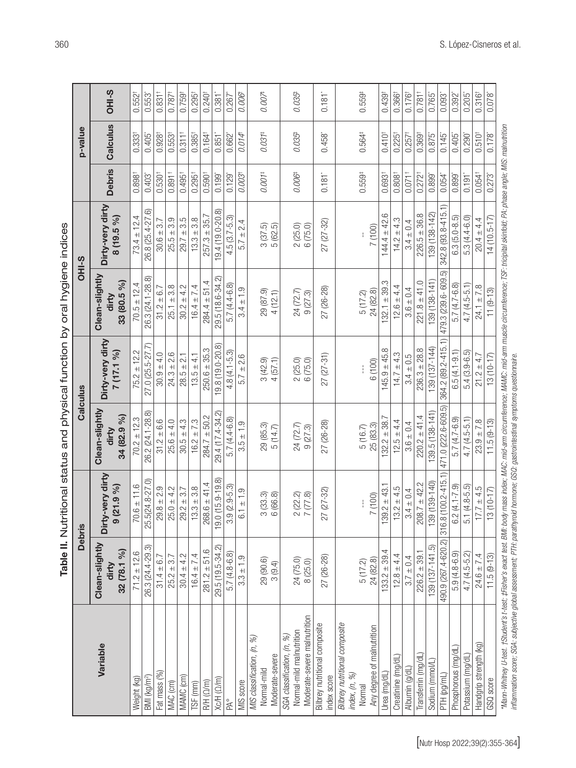| )<br>=<br>3<br>5 |
|------------------|
|                  |
|                  |
|                  |
|                  |
|                  |
| )<br>J<br>J      |
|                  |
| -<br>3<br>-      |
| $-200$           |
|                  |
|                  |

|                                                              |                                        | <b>Debris</b>                       |                                        | Calculus                       |                                        | OHI-S                          |                      | p-value              |                      |
|--------------------------------------------------------------|----------------------------------------|-------------------------------------|----------------------------------------|--------------------------------|----------------------------------------|--------------------------------|----------------------|----------------------|----------------------|
| Variable                                                     | Clean-slightly<br>32 (78.1 %)<br>dirty | Dirty-very dirty<br>$(21.9\%)$<br>ၜ | Clean-slightly<br>34 (82.9 %)<br>dirty | Dirty-very dirty<br>7 (17.1 %) | Clean-slightly<br>33 (80.5 %)<br>dirty | Dirty-very dirty<br>8 (19.5 %) | <b>Debris</b>        | Calculus             | OHI-S                |
| Weight (kg)                                                  | $71.2 \pm 12.6$                        | $70.6 \pm 11.6$                     | $70.2 \pm 12.3$                        | $75.2 \pm 12.2$                | $70.5 \pm 12.4$                        | $73.4 \pm 12.4$                | $0.898^{+}$          | $0.333^{+}$          | 0.552 <sup>†</sup>   |
| BMI (kg/m <sup>2</sup> )                                     | 26.3 (24.4-29.3)                       | 5(24.8-27.0)<br>25.                 | 26.2 (24.1-28.8)                       | 27.0 (25.5-27.7)               | 26.3 (24.1-28.8)                       | 26.8 (25.4-27.6)               | $0.403$ <sup>*</sup> | $0.405$ <sup>*</sup> | 0.553                |
| Fat mass (%)                                                 | $31.4 \pm 6.7$                         | $29.8 \pm 2.9$                      | $31.2 \pm 6.6$                         | $30.9 \pm 4.0$                 | $31.2 \pm 6.7$                         | $30.6 \pm 3.7$                 | $0.530$ <sup>+</sup> | $0.928$ <sup>+</sup> | $0.831$ <sup>†</sup> |
| MAC (cm)                                                     | $25.2 \pm 3.7$                         | $25.0 \pm 4.2$                      | $25.6 \pm 4.0$                         | $24.3 \pm 2.6$                 | $25.1 \pm 3.8$                         | $25.5 \pm 3.9$                 | $0.891$ <sup>+</sup> | $0.553$ <sup>+</sup> | $0.787$ <sup>+</sup> |
| MAMC <sub>(cm)</sub>                                         | $30.4 \pm 4.2$                         | $29.2 \pm 3.7$                      | $30.5 \pm 4.3$                         | $28.5 \pm 2.1$                 | $30.2 \pm 4.2$                         | $29.7 \pm 3.5$                 | $0.495^+$            | $0.311$ <sup>t</sup> | $0.759$ <sup>t</sup> |
| TSF (mm)                                                     | $16.4 \pm 7.4$                         | $13.3 \pm 3.8$                      | $16.2 \pm 7.3$                         | $13.5 \pm 4.1$                 | $16.4 \pm 7.4$                         | $13.3 \pm 3.8$                 | $0.295$ <sup>+</sup> | 0.385                | 0.295 <sup>†</sup>   |
| R/H (Q/m)                                                    | $281.2 \pm 51.6$                       | $268.6 \pm 41.4$                    | $284.7 \pm 50.2$                       | $250.6 \pm 35.3$               | $284.4 \pm 51.4$                       | $257.3 \pm 35.7$               | 0.590 <sup>†</sup>   | $0.164$ <sup>+</sup> | $0.240^{+}$          |
| Xc/H (Ω/m)                                                   | 29.5 (19.5-34.2)                       | 19.0 (15.9-19.8)                    | 29.4 (17.4-34.2)                       | $9.8(19.0-20.8)$               | 29.5 (18.6-34.2)                       | $9.4(19.0 - 20.8)$             | $0.199$ <sup>*</sup> | $0.851*$             | $0.381$ <sup>*</sup> |
| PA°                                                          | $5.7(4.8-6.8)$                         | $3.9(2.9-5.3)$                      | $5.7(4.4-6.8)$                         | $.8(4.1 - 5.3)$                | 5.7 (4.4-6.8)                          | $4.5(3.7-5.3)$                 | $0.129$ <sup>*</sup> | 0.662"               | 0.267                |
| MIS score                                                    | $3.3 \pm 1.9$                          | $6.1 \pm 1.9$                       | $3.5 \pm 1.9$                          | $5.7 \pm 2.6$                  | $3.4 \pm 1.9$                          | $5.7 \pm 2.4$                  | 0.003                | 0.014                | 0.006                |
| MIS classification, (n, %)<br>Moderate-severe<br>Normal-mild | $29(90.6)$<br>$3(9.4)$                 | $3(33.3)$<br>6 (66.8)               | 29 (85.3)<br>5(14.7)                   | $3(42.9)$<br>4 $(57.1)$        | 29 (87.9)<br>4 (12.1)                  | $3(37.5)$<br>$5(62.5)$         | $0.001$ $^{\circ}$   | $0.031*$             | 0.007                |
| SGA classification, (n, %)                                   |                                        |                                     |                                        |                                |                                        |                                |                      |                      |                      |
| Moderate-severe malnutrition<br>Normal-mild malnutrition     | 24 (75.0)<br>8(25.0)                   | $2(22.2)$<br>7(77.8)                | 24 (72.7)<br>9(27.3)                   | $2(25.0)$<br>6 $(75.0)$        | $24(72.7)$<br>9(27.3)                  | 2 (25.0)<br>6 (75.0)           | 0.006                | $0.035$ <sup>#</sup> | 0.035                |
| Bilbrey nutritional composite<br>index score                 | 27 (26-28)                             | 27 (27-32)                          | 27 (26-28)                             | $27(27-31)$                    | 27 (26-28)                             | 27 (27-32)                     | $0.181$ <sup>*</sup> | $0.458*$             | $0.181$ <sup>*</sup> |
| Bilbrey nutritional composite                                |                                        |                                     |                                        |                                |                                        |                                |                      |                      |                      |
| index, (n, %)<br>Normal                                      | 5 (17.2)                               |                                     | 5(16.7)                                |                                | 5(17.2)                                |                                | $0.559*$             | $0.564*$             | $0.559*$             |
| Any degree of malnutrition<br>Urea (mg/dL                    | $133.2 \pm 39.4$<br>24 (82.8)          | $139.2 \pm 43.1$<br>7 (100)         | $32.2 \pm 38.$<br>25 (83.3)            | $145.9 \pm 45.8$<br>6 (100)    | $32.1 \pm 39$ .<br>24 (82.8)           | ∞<br>$144.4 \pm 42$<br>7 (100) | $0.693$ <sup>+</sup> | $0.410^{+}$          | $0.439$ <sup>t</sup> |
| Creatinine (mg/dL)                                           | $12.8 \pm 4.4$                         | $13.2 \pm 4.5$                      | $12.5 \pm 4.4$                         | $14.7 \pm 4.3$                 | $12.6 \pm 4.4$                         | $14.2 \pm 4.3$                 | $0.808^{+}$          | $0.225$ <sup>+</sup> | 0.366                |
| Albumin (g/dL                                                | $3.7 \pm 0.4$                          | $3.4 \pm 0.4$                       | $3.6 \pm 0.4$                          | $3.4 \pm 0.5$                  | $3.6 \pm 0.4$                          | $3.4 \pm 0.4$                  | $0.071$ <sup>+</sup> | $0.257$ <sup>+</sup> | $0.176$ <sup>t</sup> |
| Transferrin (mg/dL                                           | $226.2 \pm 39.1$                       | $208.7 \pm 42.2$                    | $220.2 \pm 41.4$                       | $236.3 \pm 28.8$               | $221.8 \pm 41.0$                       | $226.5 \pm 36.8$               | $0.272$ <sup>t</sup> | $0.369$ <sup>t</sup> | $0.781$ <sup>†</sup> |
| Sodium (mmol/L)                                              | 139 (137-141.5)                        | 139 (139-140)                       | 39.5 (138-141                          | 139 (137-144)                  | $139(138-141)$                         | 139 (138-142)                  | 0.899                | 0.875*               | 0.765                |
| PTH (pg/mL)                                                  | 490.9 (267.4-620.2)                    | 316.8 (100.2-415.1)                 | 471.0 (222.6-609.5)                    | 364.2 (89.2-415.1)             | 479.3 (239.6-609.5)                    | 342.8 (93.8-415.1)             | 0.054*               | $0.145$ <sup>*</sup> | $0.093$ <sup>*</sup> |
| Phosphorous (mg/dL)                                          | $5.9(4.8-6.9)$                         | $6.2(4.1 - 7.9)$                    | $5.7(4.7-6.9)$                         | $6.5(4.1 - 9.1)$               | $5.7(4.7-6.8)$                         | $6.3(5.0-8.5)$                 | $0.899^*$            | $0.405$ <sup>*</sup> | $0.392^{*}$          |
| Potassium (mg/dL)                                            | $4.7(4.5-5.2)$                         | $\overline{5.1}$ (4.8-5.5)          | $4.7(4.5-5.1)$                         | $5.4(3.9-6.5)$                 | $4.7(4.5-5.1)$                         | $5.3(4.4-6.0)$                 | 0.191                | $0.290*$             | $0.205$ <sup>*</sup> |
| Handgrip strength (kg)                                       | $24.6 \pm 7.4$                         | $17.7 \pm 4.5$                      | $23.9 \pm 7.8$                         | $21.2 \pm 4.7$                 | $24.1 \pm 7.8$                         | $20.4 \pm 4.4$                 | $0.054$ <sup>†</sup> | $0.510^{+}$          | 0.316 <sup>†</sup>   |
| GSQ score                                                    | $11.5(9-13)$                           | $13(10-17)$                         | $11.5(9-13)$                           | $13(10-17)$                    | $11(9-13)$                             | $14(10.5 - 17)$                | $0.273$ <sup>*</sup> | 0.178*               | $0.078$ <sup>*</sup> |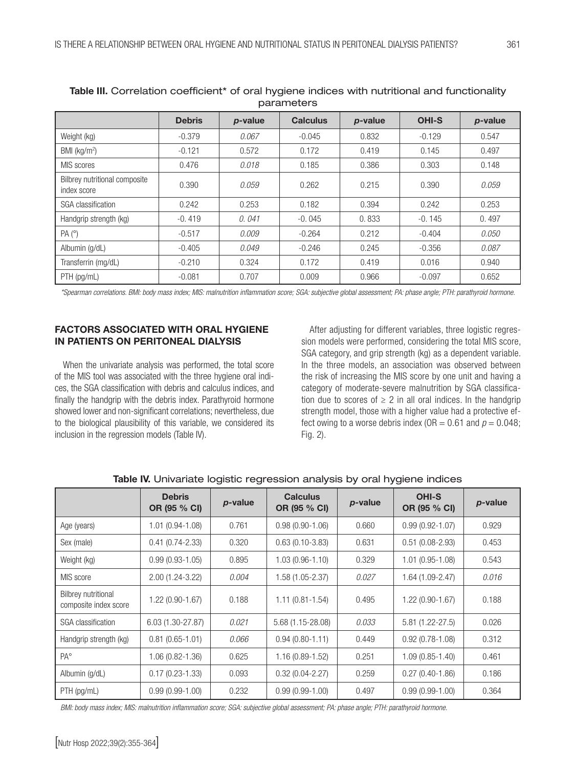|                                              |               |         | parameters      |         |              |         |
|----------------------------------------------|---------------|---------|-----------------|---------|--------------|---------|
|                                              | <b>Debris</b> | p-value | <b>Calculus</b> | p-value | <b>OHI-S</b> | p-value |
| Weight (kg)                                  | $-0.379$      | 0.067   | $-0.045$        | 0.832   | $-0.129$     | 0.547   |
| BMI (kg/m <sup>2</sup> )                     | $-0.121$      | 0.572   | 0.172           | 0.419   | 0.145        | 0.497   |
| MIS scores                                   | 0.476         | 0.018   | 0.185           | 0.386   | 0.303        | 0.148   |
| Bilbrey nutritional composite<br>index score | 0.390         | 0.059   | 0.262           | 0.215   | 0.390        | 0.059   |
| SGA classification                           | 0.242         | 0.253   | 0.182           | 0.394   | 0.242        | 0.253   |
| Handgrip strength (kg)                       | $-0.419$      | 0.041   | $-0.045$        | 0.833   | $-0.145$     | 0.497   |
| PA (°)                                       | $-0.517$      | 0.009   | $-0.264$        | 0.212   | $-0.404$     | 0.050   |
| Albumin (g/dL)                               | $-0.405$      | 0.049   | $-0.246$        | 0.245   | $-0.356$     | 0.087   |
| Transferrin (mg/dL)                          | $-0.210$      | 0.324   | 0.172           | 0.419   | 0.016        | 0.940   |
| $PTH$ (pg/mL)                                | $-0.081$      | 0.707   | 0.009           | 0.966   | $-0.097$     | 0.652   |

Table III. Correlation coefficient<sup>\*</sup> of oral hygiene indices with nutritional and functionality parameters

*\*Spearman correlations. BMI: body mass index; MIS: malnutrition inflammation score; SGA: subjective global assessment; PA: phase angle; PTH: parathyroid hormone.*

# FACTORS ASSOCIATED WITH ORAL HYGIENE IN PATIENTS ON PERITONEAL DIALYSIS

When the univariate analysis was performed, the total score of the MIS tool was associated with the three hygiene oral indices, the SGA classification with debris and calculus indices, and finally the handgrip with the debris index. Parathyroid hormone showed lower and non-significant correlations; nevertheless, due to the biological plausibility of this variable, we considered its inclusion in the regression models (Table IV).

After adjusting for different variables, three logistic regression models were performed, considering the total MIS score, SGA category, and grip strength (kg) as a dependent variable. In the three models, an association was observed between the risk of increasing the MIS score by one unit and having a category of moderate-severe malnutrition by SGA classification due to scores of  $\geq 2$  in all oral indices. In the handgrip strength model, those with a higher value had a protective effect owing to a worse debris index ( $OR = 0.61$  and  $p = 0.048$ ; Fig. 2).

|                                                     | <b>Debris</b><br>OR (95 % CI) | p-value | <b>Calculus</b><br>OR (95 % CI) | p-value | <b>OHI-S</b><br>OR (95 % CI) | p-value |
|-----------------------------------------------------|-------------------------------|---------|---------------------------------|---------|------------------------------|---------|
| Age (years)                                         | $1.01(0.94-1.08)$             | 0.761   | $0.98(0.90-1.06)$               | 0.660   | $0.99(0.92 - 1.07)$          | 0.929   |
| Sex (male)                                          | $0.41(0.74 - 2.33)$           | 0.320   | $0.63(0.10-3.83)$               | 0.631   | $0.51(0.08-2.93)$            | 0.453   |
| Weight (kg)                                         | $0.99(0.93 - 1.05)$           | 0.895   | $1.03(0.96 - 1.10)$             | 0.329   | $1.01(0.95 - 1.08)$          | 0.543   |
| MIS score                                           | 2.00 (1.24-3.22)              | 0.004   | 1.58 (1.05-2.37)                | 0.027   | 1.64 (1.09-2.47)             | 0.016   |
| <b>Bilbrey nutritional</b><br>composite index score | $1.22(0.90-1.67)$             | 0.188   | $1.11(0.81 - 1.54)$             | 0.495   | $1.22(0.90-1.67)$            | 0.188   |
| SGA classification                                  | 6.03 (1.30-27.87)             | 0.021   | 5.68 (1.15-28.08)               | 0.033   | $5.81(1.22 - 27.5)$          | 0.026   |
| Handgrip strength (kg)                              | $0.81(0.65 - 1.01)$           | 0.066   | $0.94(0.80 - 1.11)$             | 0.449   | $0.92(0.78 - 1.08)$          | 0.312   |
| $PA^{\circ}$                                        | $1.06(0.82 - 1.36)$           | 0.625   | 1.16 (0.89-1.52)                | 0.251   | $1.09(0.85 - 1.40)$          | 0.461   |
| Albumin (g/dL)                                      | $0.17(0.23 - 1.33)$           | 0.093   | $0.32(0.04 - 2.27)$             | 0.259   | $0.27(0.40-1.86)$            | 0.186   |
| PTH (pg/mL)                                         | $0.99(0.99-1.00)$             | 0.232   | $0.99(0.99 - 1.00)$             | 0.497   | $0.99(0.99-1.00)$            | 0.364   |

Table IV. Univariate logistic regression analysis by oral hygiene indices

*BMI: body mass index; MIS: malnutrition inflammation score; SGA: subjective global assessment; PA: phase angle; PTH: parathyroid hormone.*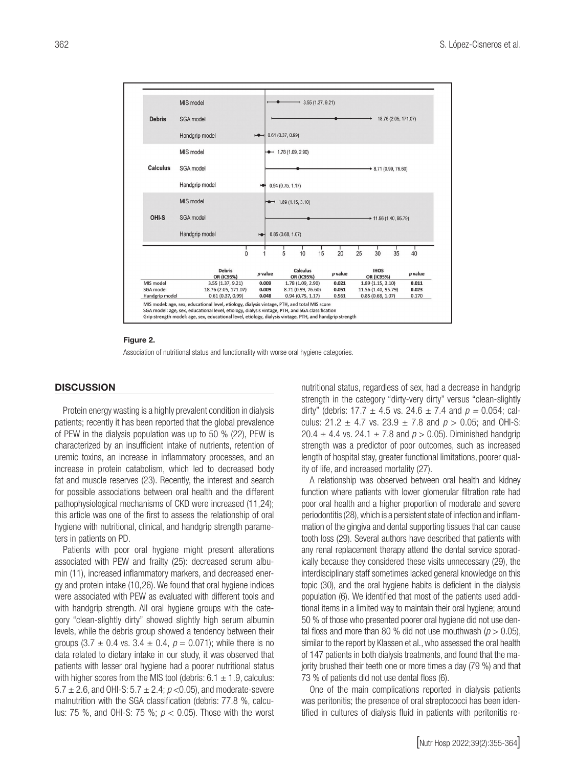

#### Figure 2.

Association of nutritional status and functionality with worse oral hygiene categories.

# **DISCUSSION**

Protein energy wasting is a highly prevalent condition in dialysis patients; recently it has been reported that the global prevalence of PEW in the dialysis population was up to 50 % (22), PEW is characterized by an insufficient intake of nutrients, retention of uremic toxins, an increase in inflammatory processes, and an increase in protein catabolism, which led to decreased body fat and muscle reserves (23). Recently, the interest and search for possible associations between oral health and the different pathophysiological mechanisms of CKD were increased (11,24); this article was one of the first to assess the relationship of oral hygiene with nutritional, clinical, and handgrip strength parameters in patients on PD.

Patients with poor oral hygiene might present alterations associated with PEW and frailty (25): decreased serum albumin (11), increased inflammatory markers, and decreased energy and protein intake (10,26). We found that oral hygiene indices were associated with PEW as evaluated with different tools and with handgrip strength. All oral hygiene groups with the category "clean-slightly dirty" showed slightly high serum albumin levels, while the debris group showed a tendency between their groups  $(3.7 \pm 0.4 \text{ vs. } 3.4 \pm 0.4, p = 0.071)$ ; while there is no data related to dietary intake in our study, it was observed that patients with lesser oral hygiene had a poorer nutritional status with higher scores from the MIS tool (debris:  $6.1 \pm 1.9$ , calculus: 5.7  $\pm$  2.6, and OHI-S: 5.7  $\pm$  2.4;  $p$  < 0.05), and moderate-severe malnutrition with the SGA classification (debris: 77.8 %, calculus: 75 %, and OHI-S: 75 %; *p* < 0.05). Those with the worst nutritional status, regardless of sex, had a decrease in handgrip strength in the category "dirty-very dirty" versus "clean-slightly dirty" (debris:  $17.7 \pm 4.5$  vs.  $24.6 \pm 7.4$  and  $p = 0.054$ ; calculus:  $21.2 \pm 4.7$  vs.  $23.9 \pm 7.8$  and  $p > 0.05$ ; and OHI-S: 20.4  $\pm$  4.4 vs. 24.1  $\pm$  7.8 and  $p > 0.05$ ). Diminished handgrip strength was a predictor of poor outcomes, such as increased length of hospital stay, greater functional limitations, poorer quality of life, and increased mortality (27).

A relationship was observed between oral health and kidney function where patients with lower glomerular filtration rate had poor oral health and a higher proportion of moderate and severe periodontitis (28), which is a persistent state of infection and inflammation of the gingiva and dental supporting tissues that can cause tooth loss (29). Several authors have described that patients with any renal replacement therapy attend the dental service sporadically because they considered these visits unnecessary (29), the interdisciplinary staff sometimes lacked general knowledge on this topic (30), and the oral hygiene habits is deficient in the dialysis population (6). We identified that most of the patients used additional items in a limited way to maintain their oral hygiene; around 50 % of those who presented poorer oral hygiene did not use dental floss and more than 80 % did not use mouthwash  $(p > 0.05)$ , similar to the report by Klassen et al., who assessed the oral health of 147 patients in both dialysis treatments, and found that the majority brushed their teeth one or more times a day (79 %) and that 73 % of patients did not use dental floss (6).

One of the main complications reported in dialysis patients was peritonitis; the presence of oral streptococci has been identified in cultures of dialysis fluid in patients with peritonitis re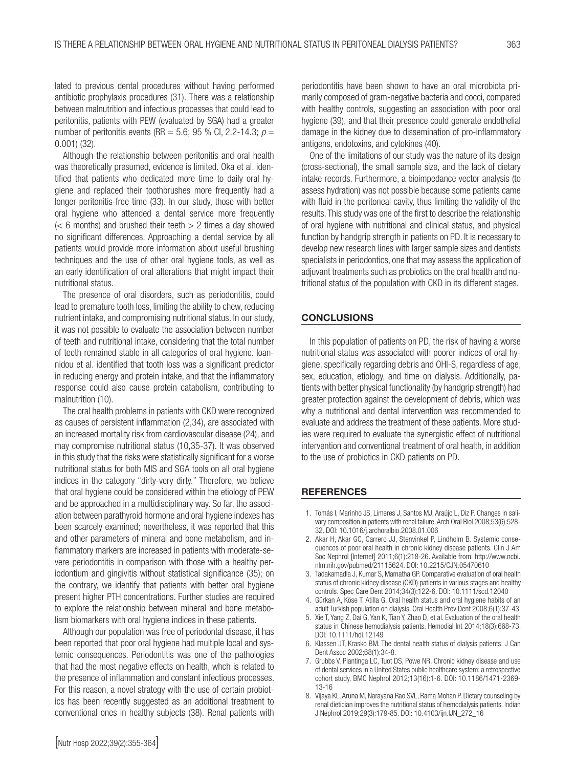lated to previous dental procedures without having performed antibiotic prophylaxis procedures (31). There was a relationship between malnutrition and infectious processes that could lead to peritonitis, patients with PEW (evaluated by SGA) had a greater number of peritonitis events (RR =  $5.6$ ; 95 % Cl, 2.2-14.3;  $p =$ 0.001) (32).

Although the relationship between peritonitis and oral health was theoretically presumed, evidence is limited. Oka et al. identified that patients who dedicated more time to daily oral hygiene and replaced their toothbrushes more frequently had a longer peritonitis-free time (33). In our study, those with better oral hygiene who attended a dental service more frequently  $(< 6$  months) and brushed their teeth  $> 2$  times a day showed no significant differences. Approaching a dental service by all patients would provide more information about useful brushing techniques and the use of other oral hygiene tools, as well as an early identification of oral alterations that might impact their nutritional status.

The presence of oral disorders, such as periodontitis, could lead to premature tooth loss, limiting the ability to chew, reducing nutrient intake, and compromising nutritional status. In our study, it was not possible to evaluate the association between number of teeth and nutritional intake, considering that the total number of teeth remained stable in all categories of oral hygiene. Ioannidou et al. identified that tooth loss was a significant predictor in reducing energy and protein intake, and that the inflammatory response could also cause protein catabolism, contributing to malnutrition (10).

The oral health problems in patients with CKD were recognized as causes of persistent inflammation (2,34), are associated with an increased mortality risk from cardiovascular disease (24), and may compromise nutritional status (10,35-37). It was observed in this study that the risks were statistically significant for a worse nutritional status for both MIS and SGA tools on all oral hygiene indices in the category "dirty-very dirty." Therefore, we believe that oral hygiene could be considered within the etiology of PEW and be approached in a multidisciplinary way. So far, the association between parathyroid hormone and oral hygiene indexes has been scarcely examined; nevertheless, it was reported that this and other parameters of mineral and bone metabolism, and inflammatory markers are increased in patients with moderate-severe periodontitis in comparison with those with a healthy periodontium and gingivitis without statistical significance (35); on the contrary, we identify that patients with better oral hygiene present higher PTH concentrations. Further studies are required to explore the relationship between mineral and bone metabolism biomarkers with oral hygiene indices in these patients.

Although our population was free of periodontal disease, it has been reported that poor oral hygiene had multiple local and systemic consequences. Periodontitis was one of the pathologies that had the most negative effects on health, whch is related to the presence of inflammation and constant infectious processes. For this reason, a novel strategy with the use of certain probiotics has been recently suggested as an additional treatment to conventional ones in healthy subjects (38). Renal patients with

periodontitis have been shown to have an oral microbiota primarily composed of gram-negative bacteria and cocci, compared with healthy controls, suggesting an association with poor oral hygiene (39), and that their presence could generate endothelial damage in the kidney due to dissemination of pro-inflammatory antigens, endotoxins, and cytokines (40).

One of the limitations of our study was the nature of its design (cross-sectional), the small sample size, and the lack of dietary intake records. Furthermore, a bioimpedance vector analysis (to assess hydration) was not possible because some patients came with fluid in the peritoneal cavity, thus limiting the validity of the results. This study was one of the first to describe the relationship of oral hygiene with nutritional and clinical status, and physical function by handgrip strength in patients on PD. It is necessary to develop new research lines with larger sample sizes and dentists specialists in periodontics, one that may assess the application of adjuvant treatments such as probiotics on the oral health and nutritional status of the population with CKD in its different stages.

#### **CONCLUSIONS**

In this population of patients on PD, the risk of having a worse nutritional status was associated with poorer indices of oral hygiene, specifically regarding debris and OHI-S, regardless of age, sex, education, etiology, and time on dialysis. Additionally, patients with better physical functionality (by handgrip strength) had greater protection against the development of debris, which was why a nutritional and dental intervention was recommended to evaluate and address the treatment of these patients. More studies were required to evaluate the synergistic effect of nutritional intervention and conventional treatment of oral health, in addition to the use of probiotics in CKD patients on PD.

#### **REFERENCES**

- 1. Tomás I, Marinho JS, Limeres J, Santos MJ, Araújo L, Diz P. Changes in salivary composition in patients with renal failure. Arch Oral Biol 2008;53(6):528- 32. DOI: 10.1016/j.archoralbio.2008.01.006
- 2. Akar H, Akar GC, Carrero JJ, Stenvinkel P, Lindholm B. Systemic consequences of poor oral health in chronic kidney disease patients. Clin J Am Soc Nephrol [Internet] 2011;6(1):218-26. Available from: http://www.ncbi. nlm.nih.gov/pubmed/21115624. DOI: 10.2215/CJN.05470610
- 3. Tadakamadla J, Kumar S, Mamatha GP. Comparative evaluation of oral health status of chronic kidney disease (CKD) patients in various stages and healthy controls. Spec Care Dent 2014;34(3):122-6. DOI: 10.1111/scd.12040
- 4. Gürkan A, Köse T, Atilla G. Oral health status and oral hygiene habits of an adult Turkish population on dialysis. Oral Health Prev Dent 2008;6(1):37-43.
- 5. Xie T, Yang Z, Dai G, Yan K, Tian Y, Zhao D, et al. Evaluation of the oral health status in Chinese hemodialysis patients. Hemodial Int 2014;18(3):668-73. DOI: 10.1111/hdi.12149
- 6. Klassen JT, Krasko BM. The dental health status of dialysis patients. J Can Dent Assoc 2002;68(1):34-8.
- 7. Grubbs V, Plantinga LC, Tuot DS, Powe NR. Chronic kidney disease and use of dental services in a United States public healthcare system: a retrospective cohort study. BMC Nephrol 2012;13(16):1-6. DOI: 10.1186/1471-2369- 13-16
- 8. Vijaya KL, Aruna M, Narayana Rao SVL, Rama Mohan P. Dietary counseling by renal dietician improves the nutritional status of hemodialysis patients. Indian J Nephrol 2019;29(3):179-85. DOI: 10.4103/ijn.IJN\_272\_16